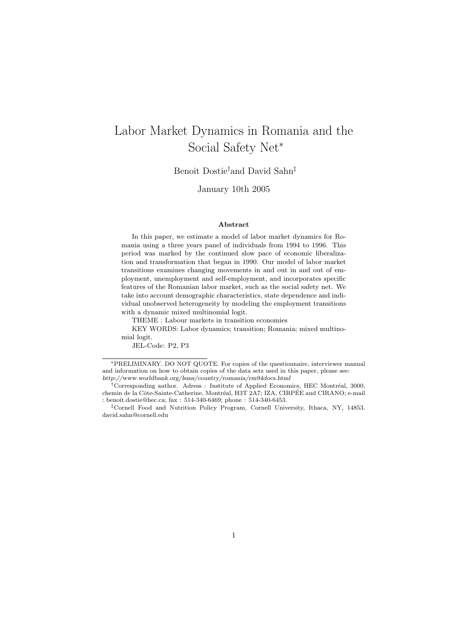# Labor Market Dynamics in Romania and the Social Safety Net<sup>∗</sup>

Benoit Dostie†and David Sahn‡

January 10th 2005

#### Abstract

In this paper, we estimate a model of labor market dynamics for Romania using a three years panel of individuals from 1994 to 1996. This period was marked by the continued slow pace of economic liberalization and transformation that began in 1990. Our model of labor market transitions examines changing movements in and out in and out of employment, unemployment and self-employment, and incorporates specific features of the Romanian labor market, such as the social safety net. We take into account demographic characteristics, state dependence and individual unobserved heterogeneity by modeling the employment transitions with a dynamic mixed multinomial logit.

THEME : Labour markets in transition economies

KEY WORDS: Labor dynamics; transition; Romania; mixed multinomial logit.

JEL-Code: P2, P3

<sup>∗</sup>PRELIMINARY. DO NOT QUOTE. For copies of the questionnaire, interviewer manual and information on how to obtain copies of the data sets used in this paper, please see: http://www.worldbank.org/lsms/country/romania/rm94docs.html

<sup>&</sup>lt;sup>†</sup>Corresponding author. Adress : Institute of Applied Economics, HEC Montréal, 3000, chemin de la Côte-Sainte-Catherine, Montréal, H3T 2A7; IZA, CIRPÉE and CIRANO; e-mail : benoit.dostie@hec.ca; fax : 514-340-6469; phone : 514-340-6453.

<sup>‡</sup>Cornell Food and Nutrition Policy Program, Cornell University, Ithaca, NY, 14853. david.sahn@cornell.edu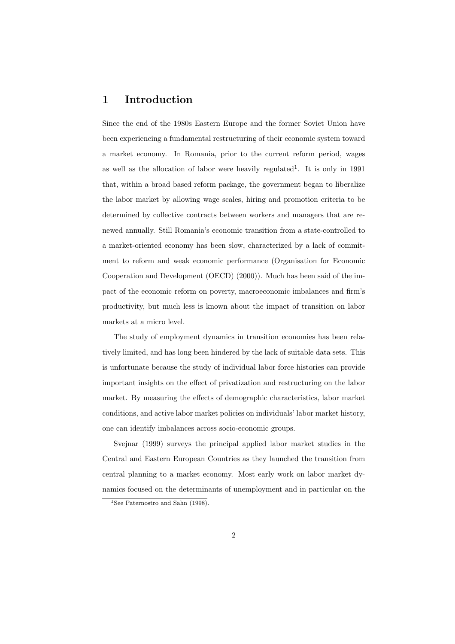# 1 Introduction

Since the end of the 1980s Eastern Europe and the former Soviet Union have been experiencing a fundamental restructuring of their economic system toward a market economy. In Romania, prior to the current reform period, wages as well as the allocation of labor were heavily regulated<sup>1</sup>. It is only in 1991 that, within a broad based reform package, the government began to liberalize the labor market by allowing wage scales, hiring and promotion criteria to be determined by collective contracts between workers and managers that are renewed annually. Still Romania's economic transition from a state-controlled to a market-oriented economy has been slow, characterized by a lack of commitment to reform and weak economic performance (Organisation for Economic Cooperation and Development (OECD) (2000)). Much has been said of the impact of the economic reform on poverty, macroeconomic imbalances and firm's productivity, but much less is known about the impact of transition on labor markets at a micro level.

The study of employment dynamics in transition economies has been relatively limited, and has long been hindered by the lack of suitable data sets. This is unfortunate because the study of individual labor force histories can provide important insights on the effect of privatization and restructuring on the labor market. By measuring the effects of demographic characteristics, labor market conditions, and active labor market policies on individuals' labor market history, one can identify imbalances across socio-economic groups.

Svejnar (1999) surveys the principal applied labor market studies in the Central and Eastern European Countries as they launched the transition from central planning to a market economy. Most early work on labor market dynamics focused on the determinants of unemployment and in particular on the

<sup>&</sup>lt;sup>1</sup>See Paternostro and Sahn (1998).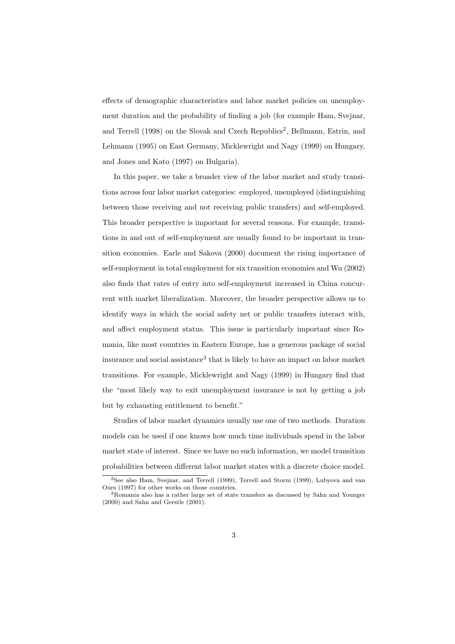effects of demographic characteristics and labor market policies on unemployment duration and the probability of finding a job (for example Ham, Svejnar, and Terrell (1998) on the Slovak and Czech Republics<sup>2</sup>, Bellmann, Estrin, and Lehmann (1995) on East Germany, Micklewright and Nagy (1999) on Hungary, and Jones and Kato (1997) on Bulgaria).

In this paper, we take a broader view of the labor market and study transitions across four labor market categories: employed, unemployed (distinguishing between those receiving and not receiving public transfers) and self-employed. This broader perspective is important for several reasons. For example, transitions in and out of self-employment are usually found to be important in transition economies. Earle and Sakova (2000) document the rising importance of self-employment in total employment for six transition economies and Wu (2002) also finds that rates of entry into self-employment increased in China concurrent with market liberalization. Moreover, the broader perspective allows us to identify ways in which the social safety net or public transfers interact with, and affect employment status. This issue is particularly important since Romania, like most countries in Eastern Europe, has a generous package of social insurance and social assistance<sup>3</sup> that is likely to have an impact on labor market transitions. For example, Micklewright and Nagy (1999) in Hungary find that the "most likely way to exit unemployment insurance is not by getting a job but by exhausting entitlement to benefit."

Studies of labor market dynamics usually use one of two methods. Duration models can be used if one knows how much time individuals spend in the labor market state of interest. Since we have no such information, we model transition probabilities between different labor market states with a discrete choice model.

<sup>2</sup>See also Ham, Svejnar, and Terrell (1999), Terrell and Storm (1999), Lubyova and van Ours (1997) for other works on those countries.

<sup>3</sup>Romania also has a rather large set of state transfers as discussed by Sahn and Younger (2000) and Sahn and Gerstle (2001).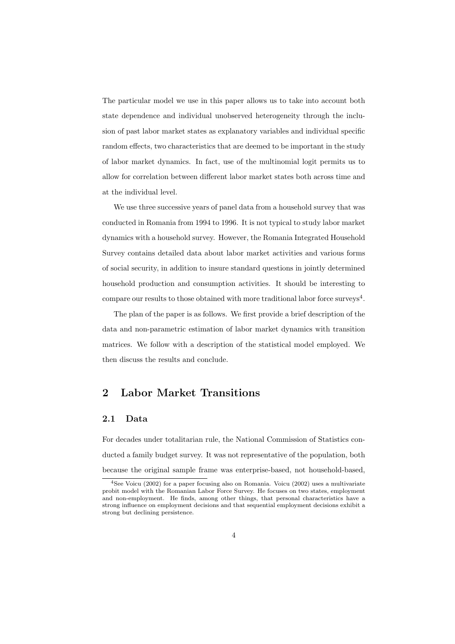The particular model we use in this paper allows us to take into account both state dependence and individual unobserved heterogeneity through the inclusion of past labor market states as explanatory variables and individual specific random effects, two characteristics that are deemed to be important in the study of labor market dynamics. In fact, use of the multinomial logit permits us to allow for correlation between different labor market states both across time and at the individual level.

We use three successive years of panel data from a household survey that was conducted in Romania from 1994 to 1996. It is not typical to study labor market dynamics with a household survey. However, the Romania Integrated Household Survey contains detailed data about labor market activities and various forms of social security, in addition to insure standard questions in jointly determined household production and consumption activities. It should be interesting to compare our results to those obtained with more traditional labor force surveys<sup>4</sup>.

The plan of the paper is as follows. We first provide a brief description of the data and non-parametric estimation of labor market dynamics with transition matrices. We follow with a description of the statistical model employed. We then discuss the results and conclude.

### 2 Labor Market Transitions

#### 2.1 Data

For decades under totalitarian rule, the National Commission of Statistics conducted a family budget survey. It was not representative of the population, both because the original sample frame was enterprise-based, not household-based,

<sup>4</sup>See Voicu (2002) for a paper focusing also on Romania. Voicu (2002) uses a multivariate probit model with the Romanian Labor Force Survey. He focuses on two states, employment and non-employment. He finds, among other things, that personal characteristics have a strong influence on employment decisions and that sequential employment decisions exhibit a strong but declining persistence.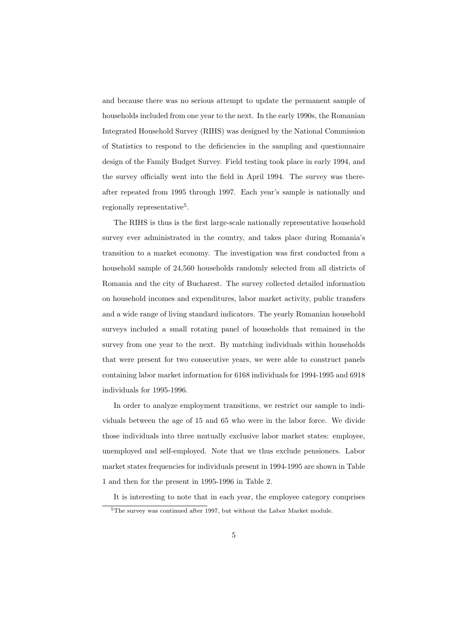and because there was no serious attempt to update the permanent sample of households included from one year to the next. In the early 1990s, the Romanian Integrated Household Survey (RIHS) was designed by the National Commission of Statistics to respond to the deficiencies in the sampling and questionnaire design of the Family Budget Survey. Field testing took place in early 1994, and the survey officially went into the field in April 1994. The survey was thereafter repeated from 1995 through 1997. Each year's sample is nationally and regionally representative<sup>5</sup>.

The RIHS is thus is the first large-scale nationally representative household survey ever administrated in the country, and takes place during Romania's transition to a market economy. The investigation was first conducted from a household sample of 24,560 households randomly selected from all districts of Romania and the city of Bucharest. The survey collected detailed information on household incomes and expenditures, labor market activity, public transfers and a wide range of living standard indicators. The yearly Romanian household surveys included a small rotating panel of households that remained in the survey from one year to the next. By matching individuals within households that were present for two consecutive years, we were able to construct panels containing labor market information for 6168 individuals for 1994-1995 and 6918 individuals for 1995-1996.

In order to analyze employment transitions, we restrict our sample to individuals between the age of 15 and 65 who were in the labor force. We divide those individuals into three mutually exclusive labor market states: employee, unemployed and self-employed. Note that we thus exclude pensioners. Labor market states frequencies for individuals present in 1994-1995 are shown in Table 1 and then for the present in 1995-1996 in Table 2.

It is interesting to note that in each year, the employee category comprises <sup>5</sup>The survey was continued after 1997, but without the Labor Market module.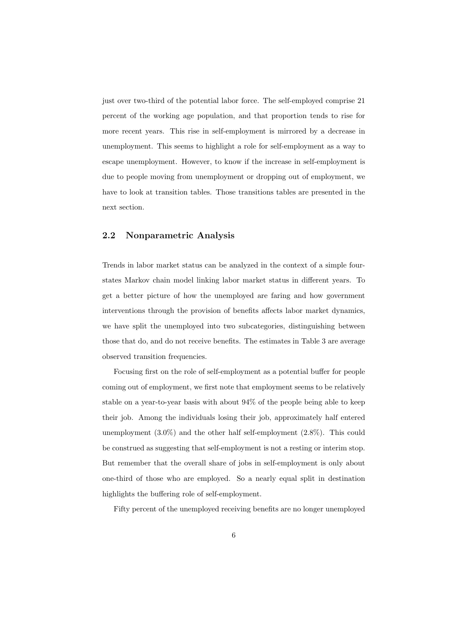just over two-third of the potential labor force. The self-employed comprise 21 percent of the working age population, and that proportion tends to rise for more recent years. This rise in self-employment is mirrored by a decrease in unemployment. This seems to highlight a role for self-employment as a way to escape unemployment. However, to know if the increase in self-employment is due to people moving from unemployment or dropping out of employment, we have to look at transition tables. Those transitions tables are presented in the next section.

### 2.2 Nonparametric Analysis

Trends in labor market status can be analyzed in the context of a simple fourstates Markov chain model linking labor market status in different years. To get a better picture of how the unemployed are faring and how government interventions through the provision of benefits affects labor market dynamics, we have split the unemployed into two subcategories, distinguishing between those that do, and do not receive benefits. The estimates in Table 3 are average observed transition frequencies.

Focusing first on the role of self-employment as a potential buffer for people coming out of employment, we first note that employment seems to be relatively stable on a year-to-year basis with about 94% of the people being able to keep their job. Among the individuals losing their job, approximately half entered unemployment (3.0%) and the other half self-employment (2.8%). This could be construed as suggesting that self-employment is not a resting or interim stop. But remember that the overall share of jobs in self-employment is only about one-third of those who are employed. So a nearly equal split in destination highlights the buffering role of self-employment.

Fifty percent of the unemployed receiving benefits are no longer unemployed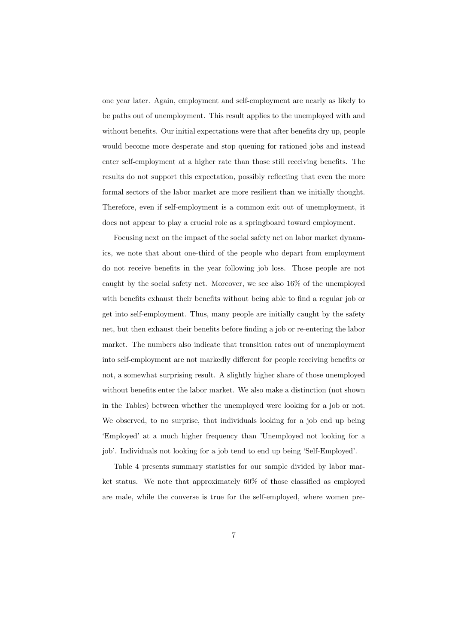one year later. Again, employment and self-employment are nearly as likely to be paths out of unemployment. This result applies to the unemployed with and without benefits. Our initial expectations were that after benefits dry up, people would become more desperate and stop queuing for rationed jobs and instead enter self-employment at a higher rate than those still receiving benefits. The results do not support this expectation, possibly reflecting that even the more formal sectors of the labor market are more resilient than we initially thought. Therefore, even if self-employment is a common exit out of unemployment, it does not appear to play a crucial role as a springboard toward employment.

Focusing next on the impact of the social safety net on labor market dynamics, we note that about one-third of the people who depart from employment do not receive benefits in the year following job loss. Those people are not caught by the social safety net. Moreover, we see also 16% of the unemployed with benefits exhaust their benefits without being able to find a regular job or get into self-employment. Thus, many people are initially caught by the safety net, but then exhaust their benefits before finding a job or re-entering the labor market. The numbers also indicate that transition rates out of unemployment into self-employment are not markedly different for people receiving benefits or not, a somewhat surprising result. A slightly higher share of those unemployed without benefits enter the labor market. We also make a distinction (not shown in the Tables) between whether the unemployed were looking for a job or not. We observed, to no surprise, that individuals looking for a job end up being 'Employed' at a much higher frequency than 'Unemployed not looking for a job'. Individuals not looking for a job tend to end up being 'Self-Employed'.

Table 4 presents summary statistics for our sample divided by labor market status. We note that approximately 60% of those classified as employed are male, while the converse is true for the self-employed, where women pre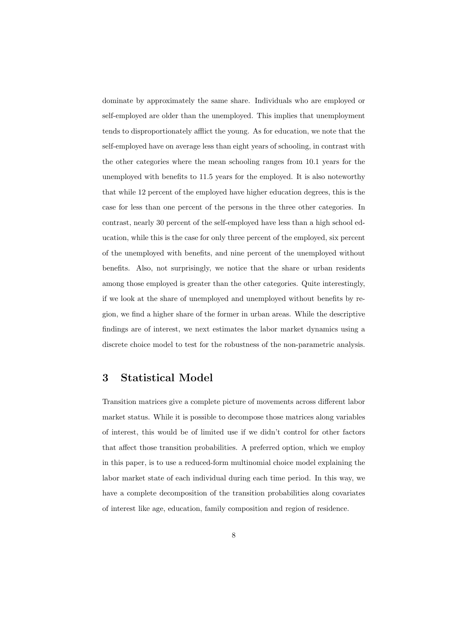dominate by approximately the same share. Individuals who are employed or self-employed are older than the unemployed. This implies that unemployment tends to disproportionately afflict the young. As for education, we note that the self-employed have on average less than eight years of schooling, in contrast with the other categories where the mean schooling ranges from 10.1 years for the unemployed with benefits to 11.5 years for the employed. It is also noteworthy that while 12 percent of the employed have higher education degrees, this is the case for less than one percent of the persons in the three other categories. In contrast, nearly 30 percent of the self-employed have less than a high school education, while this is the case for only three percent of the employed, six percent of the unemployed with benefits, and nine percent of the unemployed without benefits. Also, not surprisingly, we notice that the share or urban residents among those employed is greater than the other categories. Quite interestingly, if we look at the share of unemployed and unemployed without benefits by region, we find a higher share of the former in urban areas. While the descriptive findings are of interest, we next estimates the labor market dynamics using a discrete choice model to test for the robustness of the non-parametric analysis.

### 3 Statistical Model

Transition matrices give a complete picture of movements across different labor market status. While it is possible to decompose those matrices along variables of interest, this would be of limited use if we didn't control for other factors that affect those transition probabilities. A preferred option, which we employ in this paper, is to use a reduced-form multinomial choice model explaining the labor market state of each individual during each time period. In this way, we have a complete decomposition of the transition probabilities along covariates of interest like age, education, family composition and region of residence.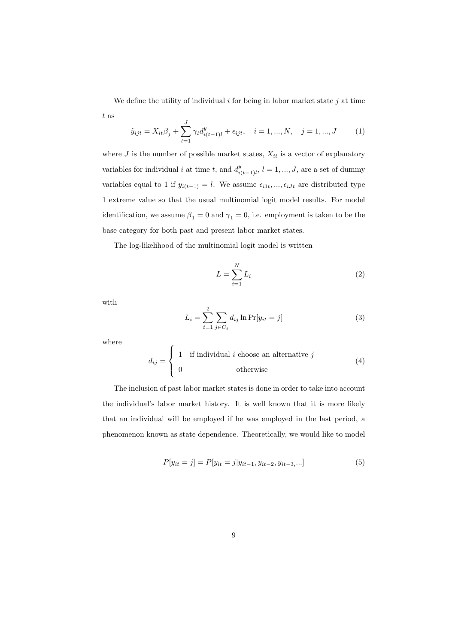We define the utility of individual  $i$  for being in labor market state  $j$  at time t as

$$
\tilde{y}_{ijt} = X_{it}\beta_j + \sum_{l=1}^{J} \gamma_l d_{i(t-1)l}^y + \epsilon_{ijt}, \quad i = 1, ..., N, \quad j = 1, ..., J \quad (1)
$$

where  $J$  is the number of possible market states,  $X_{it}$  is a vector of explanatory variables for individual i at time t, and  $d_i^y$  $\sum_{i(t-1)l}^{y}, l = 1, ..., J$ , are a set of dummy variables equal to 1 if  $y_{i(t-1)} = l$ . We assume  $\epsilon_{i1t}, ..., \epsilon_{iJt}$  are distributed type 1 extreme value so that the usual multinomial logit model results. For model identification, we assume  $\beta_1 = 0$  and  $\gamma_1 = 0$ , i.e. employment is taken to be the base category for both past and present labor market states.

The log-likelihood of the multinomial logit model is written

 $\overline{a}$ 

$$
L = \sum_{i=1}^{N} L_i
$$
\n<sup>(2)</sup>

with

$$
L_i = \sum_{t=1}^{2} \sum_{j \in C_i} d_{ij} \ln \Pr[y_{it} = j]
$$
 (3)

where

$$
d_{ij} = \begin{cases} 1 & \text{if individual } i \text{ choose an alternative } j \\ 0 & \text{otherwise} \end{cases}
$$
 (4)

The inclusion of past labor market states is done in order to take into account the individual's labor market history. It is well known that it is more likely that an individual will be employed if he was employed in the last period, a phenomenon known as state dependence. Theoretically, we would like to model

$$
P[y_{it} = j] = P[y_{it} = j | y_{it-1}, y_{it-2}, y_{it-3}, \dots]
$$
\n(5)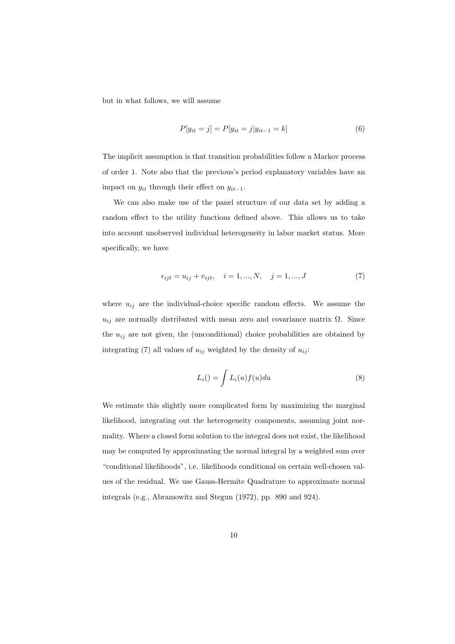but in what follows, we will assume

$$
P[y_{it} = j] = P[y_{it} = j | y_{it-1} = k]
$$
\n(6)

The implicit assumption is that transition probabilities follow a Markov process of order 1. Note also that the previous's period explanatory variables have an impact on  $y_{it}$  through their effect on  $y_{it-1}$ .

We can also make use of the panel structure of our data set by adding a random effect to the utility functions defined above. This allows us to take into account unobserved individual heterogeneity in labor market status. More specifically, we have

$$
\epsilon_{ijt} = u_{ij} + v_{ijt}, \quad i = 1, ..., N, \quad j = 1, ..., J
$$
 (7)

where  $u_{ij}$  are the individual-choice specific random effects. We assume the  $u_{ij}$  are normally distributed with mean zero and covariance matrix  $\Omega$ . Since the  $u_{ij}$  are not given, the (unconditional) choice probabilities are obtained by integrating (7) all values of  $u_{ij}$  weighted by the density of  $u_{ij}$ :

$$
L_i() = \int L_i(u) f(u) du \tag{8}
$$

We estimate this slightly more complicated form by maximizing the marginal likelihood, integrating out the heterogeneity components, assuming joint normality. Where a closed form solution to the integral does not exist, the likelihood may be computed by approximating the normal integral by a weighted sum over "conditional likelihoods", i.e. likelihoods conditional on certain well-chosen values of the residual. We use Gauss-Hermite Quadrature to approximate normal integrals (e.g., Abramowitz and Stegun (1972), pp. 890 and 924).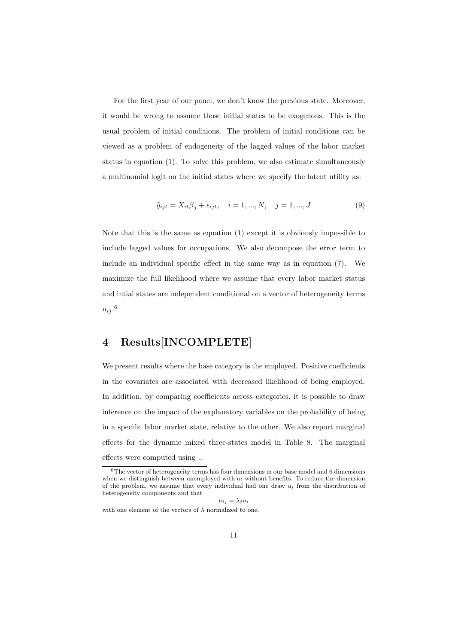For the first year of our panel, we don't know the previous state. Moreover, it would be wrong to assume those initial states to be exogenous. This is the usual problem of initial conditions. The problem of initial conditions can be viewed as a problem of endogeneity of the lagged values of the labor market status in equation (1). To solve this problem, we also estimate simultaneously a multinomial logit on the initial states where we specify the latent utility as:

$$
\tilde{y}_{ijt} = X_{it}\beta_j + \epsilon_{ijt}, \quad i = 1, ..., N, \quad j = 1, ..., J
$$
\n(9)

Note that this is the same as equation (1) except it is obviously impossible to include lagged values for occupations. We also decompose the error term to include an individual specific effect in the same way as in equation (7). We maximize the full likelihood where we assume that every labor market status and intial states are independent conditional on a vector of heterogeneity terms  $u_{ij}$ .<sup>6</sup>

# 4 Results[INCOMPLETE]

We present results where the base category is the employed. Positive coefficients in the covariates are associated with decreased likelihood of being employed. In addition, by comparing coefficients across categories, it is possible to draw inference on the impact of the explanatory variables on the probability of being in a specific labor market state, relative to the other. We also report marginal effects for the dynamic mixed three-states model in Table 8. The marginal effects were computed using ..

$$
u_{ij} = \lambda_j u_i
$$

with one element of the vectors of  $\lambda$  normalized to one.

 $^6\mathrm{The}$  vector of heterogeneity terms has four dimensions in our base model and 6 dimensions when we distinguish between unemployed with or without benefits. To reduce the dimension of the problem, we assume that every individual had one draw  $u_i$  from the distribution of heterogeneity components and that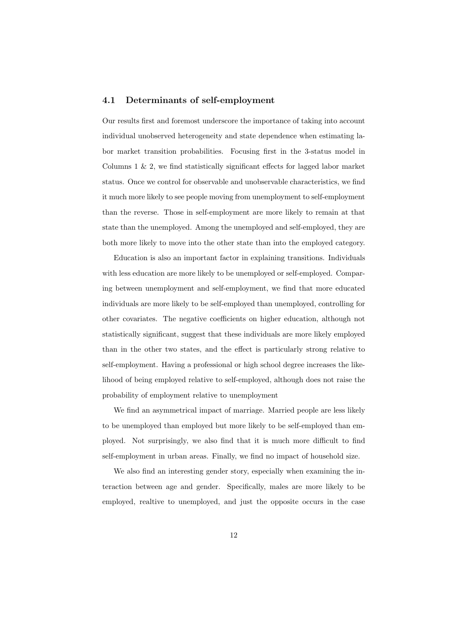### 4.1 Determinants of self-employment

Our results first and foremost underscore the importance of taking into account individual unobserved heterogeneity and state dependence when estimating labor market transition probabilities. Focusing first in the 3-status model in Columns 1 & 2, we find statistically significant effects for lagged labor market status. Once we control for observable and unobservable characteristics, we find it much more likely to see people moving from unemployment to self-employment than the reverse. Those in self-employment are more likely to remain at that state than the unemployed. Among the unemployed and self-employed, they are both more likely to move into the other state than into the employed category.

Education is also an important factor in explaining transitions. Individuals with less education are more likely to be unemployed or self-employed. Comparing between unemployment and self-employment, we find that more educated individuals are more likely to be self-employed than unemployed, controlling for other covariates. The negative coefficients on higher education, although not statistically significant, suggest that these individuals are more likely employed than in the other two states, and the effect is particularly strong relative to self-employment. Having a professional or high school degree increases the likelihood of being employed relative to self-employed, although does not raise the probability of employment relative to unemployment

We find an asymmetrical impact of marriage. Married people are less likely to be unemployed than employed but more likely to be self-employed than employed. Not surprisingly, we also find that it is much more difficult to find self-employment in urban areas. Finally, we find no impact of household size.

We also find an interesting gender story, especially when examining the interaction between age and gender. Specifically, males are more likely to be employed, realtive to unemployed, and just the opposite occurs in the case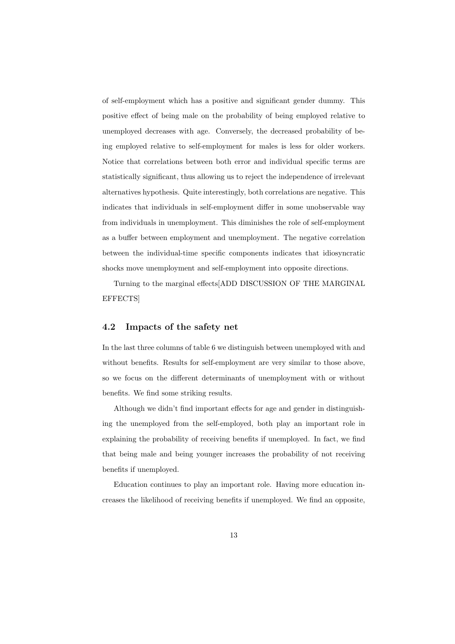of self-employment which has a positive and significant gender dummy. This positive effect of being male on the probability of being employed relative to unemployed decreases with age. Conversely, the decreased probability of being employed relative to self-employment for males is less for older workers. Notice that correlations between both error and individual specific terms are statistically significant, thus allowing us to reject the independence of irrelevant alternatives hypothesis. Quite interestingly, both correlations are negative. This indicates that individuals in self-employment differ in some unobservable way from individuals in unemployment. This diminishes the role of self-employment as a buffer between employment and unemployment. The negative correlation between the individual-time specific components indicates that idiosyncratic shocks move unemployment and self-employment into opposite directions.

Turning to the marginal effects[ADD DISCUSSION OF THE MARGINAL EFFECTS]

### 4.2 Impacts of the safety net

In the last three columns of table 6 we distinguish between unemployed with and without benefits. Results for self-employment are very similar to those above, so we focus on the different determinants of unemployment with or without benefits. We find some striking results.

Although we didn't find important effects for age and gender in distinguishing the unemployed from the self-employed, both play an important role in explaining the probability of receiving benefits if unemployed. In fact, we find that being male and being younger increases the probability of not receiving benefits if unemployed.

Education continues to play an important role. Having more education increases the likelihood of receiving benefits if unemployed. We find an opposite,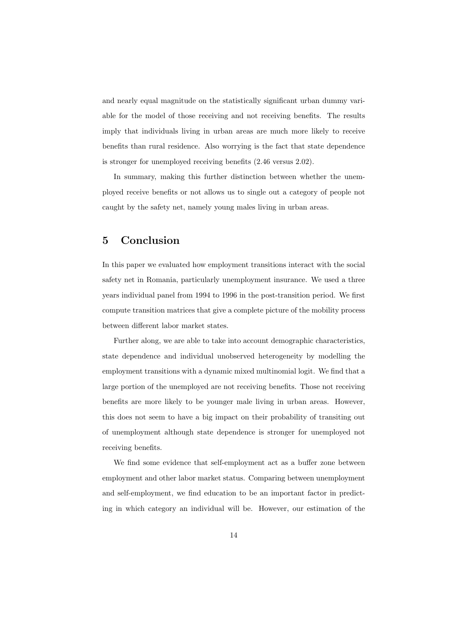and nearly equal magnitude on the statistically significant urban dummy variable for the model of those receiving and not receiving benefits. The results imply that individuals living in urban areas are much more likely to receive benefits than rural residence. Also worrying is the fact that state dependence is stronger for unemployed receiving benefits (2.46 versus 2.02).

In summary, making this further distinction between whether the unemployed receive benefits or not allows us to single out a category of people not caught by the safety net, namely young males living in urban areas.

# 5 Conclusion

In this paper we evaluated how employment transitions interact with the social safety net in Romania, particularly unemployment insurance. We used a three years individual panel from 1994 to 1996 in the post-transition period. We first compute transition matrices that give a complete picture of the mobility process between different labor market states.

Further along, we are able to take into account demographic characteristics, state dependence and individual unobserved heterogeneity by modelling the employment transitions with a dynamic mixed multinomial logit. We find that a large portion of the unemployed are not receiving benefits. Those not receiving benefits are more likely to be younger male living in urban areas. However, this does not seem to have a big impact on their probability of transiting out of unemployment although state dependence is stronger for unemployed not receiving benefits.

We find some evidence that self-employment act as a buffer zone between employment and other labor market status. Comparing between unemployment and self-employment, we find education to be an important factor in predicting in which category an individual will be. However, our estimation of the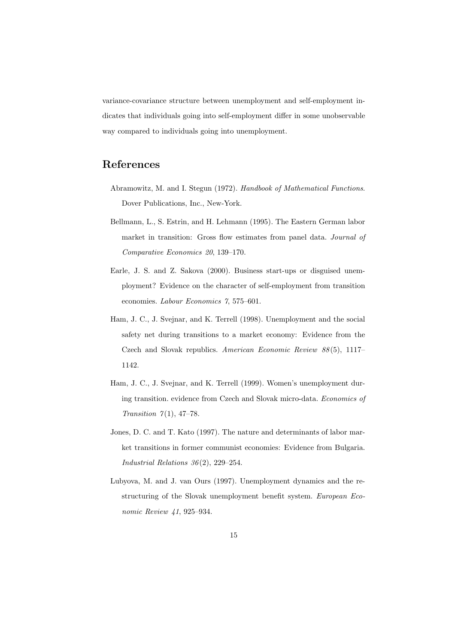variance-covariance structure between unemployment and self-employment indicates that individuals going into self-employment differ in some unobservable way compared to individuals going into unemployment.

# References

- Abramowitz, M. and I. Stegun (1972). Handbook of Mathematical Functions. Dover Publications, Inc., New-York.
- Bellmann, L., S. Estrin, and H. Lehmann (1995). The Eastern German labor market in transition: Gross flow estimates from panel data. Journal of Comparative Economics 20, 139–170.
- Earle, J. S. and Z. Sakova (2000). Business start-ups or disguised unemployment? Evidence on the character of self-employment from transition economies. Labour Economics 7, 575–601.
- Ham, J. C., J. Svejnar, and K. Terrell (1998). Unemployment and the social safety net during transitions to a market economy: Evidence from the Czech and Slovak republics. American Economic Review 88 (5), 1117– 1142.
- Ham, J. C., J. Svejnar, and K. Terrell (1999). Women's unemployment during transition. evidence from Czech and Slovak micro-data. Economics of Transition  $7(1)$ , 47-78.
- Jones, D. C. and T. Kato (1997). The nature and determinants of labor market transitions in former communist economies: Evidence from Bulgaria. Industrial Relations  $36(2)$ , 229-254.
- Lubyova, M. and J. van Ours (1997). Unemployment dynamics and the restructuring of the Slovak unemployment benefit system. European Economic Review 41, 925–934.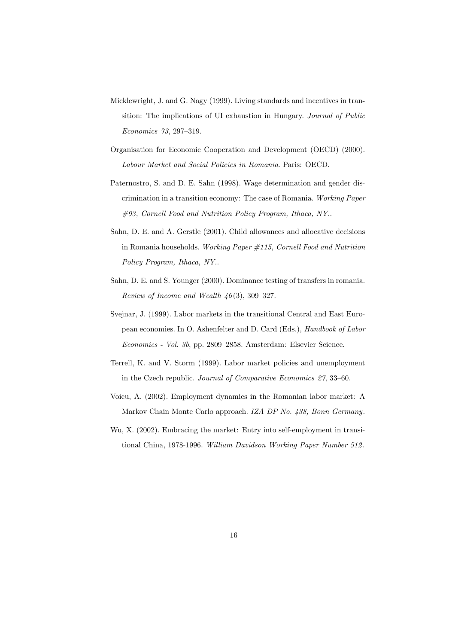- Micklewright, J. and G. Nagy (1999). Living standards and incentives in transition: The implications of UI exhaustion in Hungary. Journal of Public Economics 73, 297–319.
- Organisation for Economic Cooperation and Development (OECD) (2000). Labour Market and Social Policies in Romania. Paris: OECD.
- Paternostro, S. and D. E. Sahn (1998). Wage determination and gender discrimination in a transition economy: The case of Romania. Working Paper #93, Cornell Food and Nutrition Policy Program, Ithaca, NY..
- Sahn, D. E. and A. Gerstle (2001). Child allowances and allocative decisions in Romania households. Working Paper  $\#115$ , Cornell Food and Nutrition Policy Program, Ithaca, NY..
- Sahn, D. E. and S. Younger (2000). Dominance testing of transfers in romania. Review of Income and Wealth  $46(3)$ , 309-327.
- Svejnar, J. (1999). Labor markets in the transitional Central and East European economies. In O. Ashenfelter and D. Card (Eds.), Handbook of Labor Economics - Vol. 3b, pp. 2809–2858. Amsterdam: Elsevier Science.
- Terrell, K. and V. Storm (1999). Labor market policies and unemployment in the Czech republic. Journal of Comparative Economics 27, 33–60.
- Voicu, A. (2002). Employment dynamics in the Romanian labor market: A Markov Chain Monte Carlo approach. IZA DP No. 438, Bonn Germany.
- Wu, X. (2002). Embracing the market: Entry into self-employment in transitional China, 1978-1996. William Davidson Working Paper Number 512 .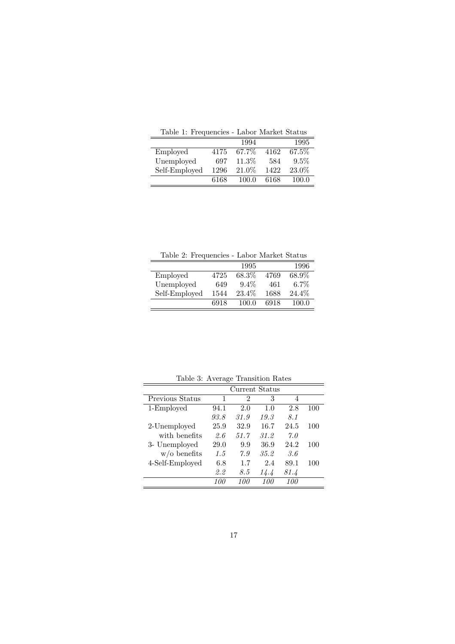| Table 1. Frequencies - Dabor Inariace Diatus |      |          |      |         |  |  |  |
|----------------------------------------------|------|----------|------|---------|--|--|--|
|                                              |      | 1994     |      | 1995    |  |  |  |
| Employed                                     | 4175 | 67.7%    | 4162 | 67.5%   |  |  |  |
| Unemployed                                   | 697  | $11.3\%$ | 584  | $9.5\%$ |  |  |  |
| Self-Employed                                | 1296 | 21.0%    | 1422 | 23.0%   |  |  |  |

6168 100.0 6168 100.0

Table 1: Frequencies - Labor Market Status

Table 2: Frequencies - Labor Market Status

|               |      | 1995    |      | 1996    |
|---------------|------|---------|------|---------|
| Employed      | 4725 | 68.3%   | 4769 | 68.9%   |
| Unemployed    | 649  | $9.4\%$ | 461  | $6.7\%$ |
| Self-Employed | 1544 | 23.4\%  | 1688 | 24.4\%  |
|               | 6918 | 100 O   | 6918 | 100 O   |

| Table 9. Treated Transition Rates |                |                |      |            |     |  |  |  |  |
|-----------------------------------|----------------|----------------|------|------------|-----|--|--|--|--|
|                                   | Current Status |                |      |            |     |  |  |  |  |
| Previous Status                   | 1              | $\overline{2}$ | 3    | 4          |     |  |  |  |  |
| 1-Employed                        | 94.1           | 2.0            | 1.0  | 2.8        | 100 |  |  |  |  |
|                                   | 93.8           | 31.9           | 19.3 | 8.1        |     |  |  |  |  |
| 2-Unemployed                      | 25.9           | 32.9           | 16.7 | 24.5       | 100 |  |  |  |  |
| with benefits                     | 2.6            | 51.7           | 31.2 | 7.0        |     |  |  |  |  |
| 3- Unemployed                     | 29.0           | 9.9            | 36.9 | 24.2       | 100 |  |  |  |  |
| $w/o$ benefits                    | 1.5            | 7.9            | 35.2 | 3.6        |     |  |  |  |  |
| 4-Self-Employed                   | 6.8            | 1.7            | 2.4  | 89.1       | 100 |  |  |  |  |
|                                   | 2.2            | 8.5            | 14.4 | 81.4       |     |  |  |  |  |
|                                   | 100            | 100            | 100  | <i>100</i> |     |  |  |  |  |

Table 3: Average Transition Rates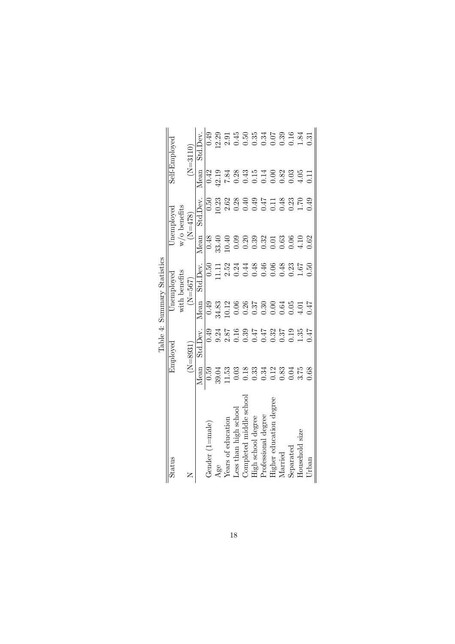|                             | Self-Employed<br>Jnemployed | $w/0$ benefits | $(N=3110)$<br>$(N=478)$ | Std.Dev.<br>Mean<br>Std.Dev. | 0.49<br>0.42<br>0.50<br>0.48 | 12.19<br>0.23<br>33.40 | $7.84\,$<br>2.62<br>0.40 | 0.09                  | 0.20                    |                    | $0.33$<br>$0.32$<br>$0.01$ | $0.38$ $0.49$ $0.547$ $0.547$ $0.548$ $0.547$ $0.548$ $0.549$ $0.549$                                                                                                                                                                                                                                       | $0.63$<br>$0.06$ |           | 4.10           | $\overline{11}$<br>0.62 |
|-----------------------------|-----------------------------|----------------|-------------------------|------------------------------|------------------------------|------------------------|--------------------------|-----------------------|-------------------------|--------------------|----------------------------|-------------------------------------------------------------------------------------------------------------------------------------------------------------------------------------------------------------------------------------------------------------------------------------------------------------|------------------|-----------|----------------|-------------------------|
|                             |                             |                |                         | Mean                         |                              |                        |                          |                       | 0.44<br>0.46            |                    |                            | 0.06                                                                                                                                                                                                                                                                                                        | 0.48             | 0.23      | 1.67           | 0.50                    |
|                             | Jnemployed                  | with benefits  | $(N = 567)$             | Std.Dev.                     | 0.50                         | $\frac{11}{11}$        | 2.52                     | 0.24                  |                         |                    |                            |                                                                                                                                                                                                                                                                                                             |                  |           |                |                         |
|                             |                             |                |                         | Mean                         | 0.49                         | 4.83<br>0.12           |                          | 0.06                  | 0.26                    |                    | $0.37$<br>$0.30$<br>$0.0$  |                                                                                                                                                                                                                                                                                                             | $0.64$<br>0.05   |           | 4.01           | 7.47                    |
| Table 4: Summary Statistics | Employed                    |                | $(N=8931)$              | Std.Dev.                     | 0.49                         | 9.24                   |                          |                       |                         |                    |                            | $\begin{array}{l} 7.87 \\ 0.169 \\ 0.000 \\ 0.000 \\ 0.000 \\ 0.000 \\ 0.000 \\ 0.01 \\ 0.01 \\ 0.01 \\ 0.01 \\ 0.01 \\ 0.01 \\ 0.01 \\ 0.01 \\ 0.01 \\ 0.01 \\ 0.01 \\ 0.01 \\ 0.01 \\ 0.01 \\ 0.01 \\ 0.01 \\ 0.01 \\ 0.01 \\ 0.01 \\ 0.01 \\ 0.01 \\ 0.01 \\ 0.01 \\ 0.01 \\ 0.01 \\ 0.01 \\ 0.01 \\ 0.$ |                  |           |                |                         |
|                             |                             |                |                         | Mean                         | 0.59                         | 39.04                  | 11.53                    | 0.03                  |                         |                    |                            | 133312331538<br>000000000000                                                                                                                                                                                                                                                                                |                  |           |                |                         |
|                             | Status                      |                |                         |                              | Gender $(1 = $ male $)$      | Age                    | Years of education       | Less than high school | Completed middle school | High school degree | Professional degree        | Higher education degree                                                                                                                                                                                                                                                                                     | Married          | Separated | Household size | $U$ rban                |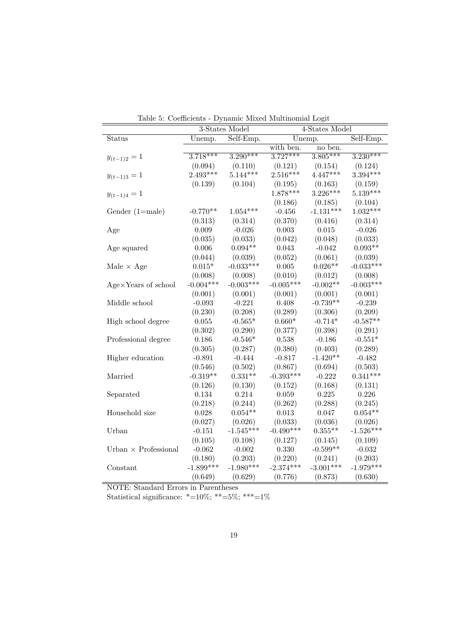|                             |             | 3-States Model                 | 4-States Model |             |                               |  |
|-----------------------------|-------------|--------------------------------|----------------|-------------|-------------------------------|--|
| Status                      | Unemp.      | $\overline{\text{Self-Emp}}$ . |                | Unemp.      | $\overline{\text{Self-Emp.}}$ |  |
|                             |             |                                | with ben.      | no ben.     |                               |  |
| $y_{(t-1)2}=1$              | $3.718***$  | $3.290***$                     | $3.727***$     | $3.805***$  | $3.230***$                    |  |
|                             | (0.094)     | (0.110)                        | (0.121)        | (0.154)     | (0.124)                       |  |
| $y_{(t-1)3} = 1$            | $2.493***$  | $5.144***$                     | $2.516***$     | $4.447***$  | $3.394***$                    |  |
|                             | (0.139)     | (0.104)                        | (0.195)        | (0.163)     | (0.159)                       |  |
| $y_{(t-1)4}=1$              |             |                                | 1.878***       | $3.226***$  | $5.139***$                    |  |
|                             |             |                                | (0.186)        | (0.185)     | (0.104)                       |  |
| Gender (1=male)             | $-0.770**$  | $1.054***$                     | $-0.456$       | $-1.131***$ | $1.032***$                    |  |
|                             | (0.313)     | (0.314)                        | (0.370)        | (0.416)     | (0.314)                       |  |
| Age                         | 0.009       | $-0.026$                       | 0.003          | 0.015       | $-0.026$                      |  |
|                             | (0.035)     | (0.033)                        | (0.042)        | (0.048)     | (0.033)                       |  |
| Age squared                 | 0.006       | $0.094**$                      | 0.043          | $-0.042$    | $0.093**$                     |  |
|                             | (0.044)     | (0.039)                        | (0.052)        | (0.061)     | (0.039)                       |  |
| Male $\times$ Age           | $0.015*$    | $-0.033***$                    | $0.005\,$      | $0.026**$   | $-0.033***$                   |  |
|                             | (0.008)     | (0.008)                        | (0.010)        | (0.012)     | (0.008)                       |  |
| Age×Years of school         | $-0.004***$ | $-0.003***$                    | $-0.005***$    | $-0.002**$  | $-0.003***$                   |  |
|                             | (0.001)     | (0.001)                        | (0.001)        | (0.001)     | (0.001)                       |  |
| Middle school               | $-0.093$    | $-0.221$                       | 0.408          | $-0.739**$  | $-0.239$                      |  |
|                             | (0.230)     | (0.208)                        | (0.289)        | (0.306)     | (0.209)                       |  |
| High school degree          | 0.055       | $-0.565*$                      | $0.660*$       | $-0.714*$   | $-0.587**$                    |  |
|                             | (0.302)     | (0.290)                        | (0.377)        | (0.398)     | (0.291)                       |  |
| Professional degree         | 0.186       | $-0.546*$                      | 0.538          | $-0.186$    | $-0.551*$                     |  |
|                             | (0.305)     | (0.287)                        | (0.380)        | (0.403)     | (0.289)                       |  |
| Higher education            | $-0.891$    | $-0.444$                       | $-0.817$       | $-1.420**$  | $-0.482$                      |  |
|                             | (0.546)     | (0.502)                        | (0.867)        | (0.694)     | (0.503)                       |  |
| Married                     | $-0.319**$  | $0.331**$                      | $-0.393***$    | $-0.222$    | $0.341***$                    |  |
|                             | (0.126)     | (0.130)                        | (0.152)        | (0.168)     | (0.131)                       |  |
| Separated                   | 0.134       | 0.214                          | $\,0.059\,$    | 0.225       | 0.226                         |  |
|                             | (0.218)     | (0.244)                        | (0.262)        | (0.288)     | (0.245)                       |  |
| Household size              | 0.028       | $0.054**$                      | 0.013          | 0.047       | $0.054**$                     |  |
|                             | (0.027)     | (0.026)                        | (0.033)        | (0.036)     | (0.026)                       |  |
| Urban                       | $-0.151$    | $-1.545***$                    | $-0.490***$    | $0.355**$   | $-1.526***$                   |  |
|                             | (0.105)     | (0.108)                        | (0.127)        | (0.145)     | (0.109)                       |  |
| Urban $\times$ Professional | $-0.062$    | $-0.002$                       | 0.330          | $-0.599**$  | $-0.032$                      |  |
|                             | (0.180)     | (0.203)                        | (0.220)        | (0.241)     | (0.203)                       |  |
| Constant                    | $-1.899***$ | $-1.980***$                    | $-2.374***$    | $-3.001***$ | $-1.979***$                   |  |
|                             | (0.649)     | (0.629)                        | (0.776)        | (0.873)     | (0.630)                       |  |

Table 5: Coefficients - Dynamic Mixed Multinomial Logit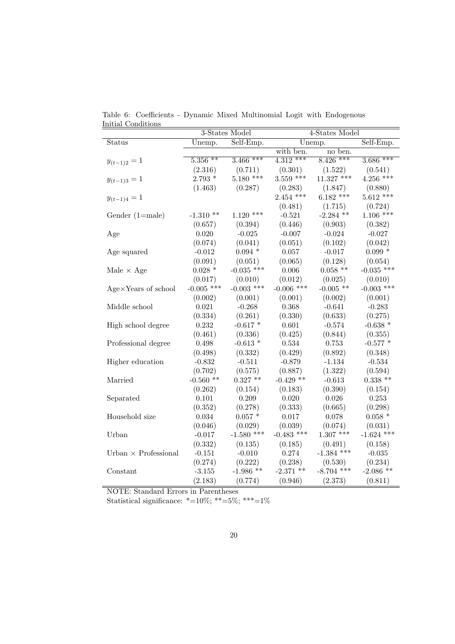|                              |                       | 3-States Model                 | 4-States Model |              |              |  |
|------------------------------|-----------------------|--------------------------------|----------------|--------------|--------------|--|
| Status                       | Unemp.                | $\overline{\text{Self-Emp}}$ . |                | Unemp.       | Self-Emp.    |  |
|                              |                       |                                | with ben.      | no ben.      |              |  |
| $y_{(t-1)2}=1$               | $5.\overline{356}$ ** | $3.466$ ***                    | $4.312***$     | $8.426$ ***  | $3.686$ ***  |  |
|                              | (2.316)               | (0.711)                        | (0.301)        | (1.522)      | (0.541)      |  |
| $y_{(t-1)3} = 1$             | $2.793*$              | $5.180$ ***                    | $3.559$ ***    | $11.327$ *** | $4.256$ ***  |  |
|                              | (1.463)               | (0.287)                        | (0.283)        | (1.847)      | (0.880)      |  |
| $y_{(t-1)4}=1$               |                       |                                | $2.454$ ***    | $6.182$ ***  | $5.612$ ***  |  |
|                              |                       |                                | (0.481)        | (1.715)      | (0.724)      |  |
| Gender $(1=male)$            | $-1.310**$            | $1.120$ ***                    | $-0.521$       | $-2.284$ **  | $1.106$ ***  |  |
|                              | (0.657)               | (0.394)                        | (0.446)        | (0.903)      | (0.382)      |  |
| Age                          | 0.020                 | $-0.025$                       | $-0.007$       | $-0.024$     | $-0.027$     |  |
|                              | (0.074)               | (0.041)                        | (0.051)        | (0.102)      | (0.042)      |  |
| Age squared                  | $-0.012$              | $0.094*$                       | 0.057          | $-0.017$     | $0.099*$     |  |
|                              | (0.091)               | (0.051)                        | (0.065)        | (0.128)      | (0.054)      |  |
| Male $\times$ Age            | $0.028$ *             | $-0.035$ ***                   | $0.006\,$      | $0.058$ **   | $-0.035$ *** |  |
|                              | (0.017)               | (0.010)                        | (0.012)        | (0.025)      | (0.010)      |  |
| $Age \times Years$ of school | $-0.005$ ***          | $-0.003$ ***                   | $-0.006$ ***   | $-0.005$ **  | $-0.003$ *** |  |
|                              | (0.002)               | (0.001)                        | (0.001)        | (0.002)      | (0.001)      |  |
| Middle school                | 0.021                 | $-0.268$                       | 0.368          | $-0.641$     | $-0.283$     |  |
|                              | (0.334)               | (0.261)                        | (0.330)        | (0.633)      | (0.275)      |  |
| High school degree           | 0.232                 | $-0.617*$                      | 0.601          | $-0.574$     | $-0.638*$    |  |
|                              | (0.461)               | (0.336)                        | (0.425)        | (0.844)      | (0.355)      |  |
| Professional degree          | 0.498                 | $-0.613*$                      | 0.534          | 0.753        | $-0.577$ *   |  |
|                              | (0.498)               | (0.332)                        | (0.429)        | (0.892)      | (0.348)      |  |
| Higher education             | $-0.832$              | $-0.511$                       | $-0.879$       | $-1.134$     | $-0.534$     |  |
|                              | (0.702)               | (0.575)                        | (0.887)        | (1.322)      | (0.594)      |  |
| Married                      | $-0.560$ **           | $0.327**$                      | $-0.429$ **    | $-0.613$     | $0.338**$    |  |
|                              | (0.262)               | (0.154)                        | (0.183)        | (0.390)      | (0.154)      |  |
| Separated                    | 0.101                 | 0.209                          | 0.020          | 0.026        | 0.253        |  |
|                              | (0.352)               | (0.278)                        | (0.333)        | (0.665)      | (0.298)      |  |
| Household size               | 0.034                 | $0.057*$                       | 0.017          | 0.078        | $0.058*$     |  |
|                              | (0.046)               | (0.029)                        | (0.039)        | (0.074)      | (0.031)      |  |
| Urban                        | $-0.017$              | $-1.580$ ***                   | $-0.483$ ***   | $1.307$ ***  | $-1.624$ *** |  |
|                              | (0.332)               | (0.135)                        | (0.185)        | (0.491)      | (0.158)      |  |
| Urban $\times$ Professional  | $-0.151$              | $-0.010$                       | 0.274          | $-1.384$ *** | $-0.035$     |  |
|                              | (0.274)               | (0.222)                        | (0.238)        | (0.530)      | (0.234)      |  |
| Constant                     | $-3.155$              | $-1.986$ **                    | $-2.371$ **    | $-8.704$ *** | $-2.086$ **  |  |
|                              | (2.183)               | (0.774)                        | (0.946)        | (2.373)      | (0.811)      |  |

Table 6: Coefficients - Dynamic Mixed Multinomial Logit with Endogenous Initial Conditions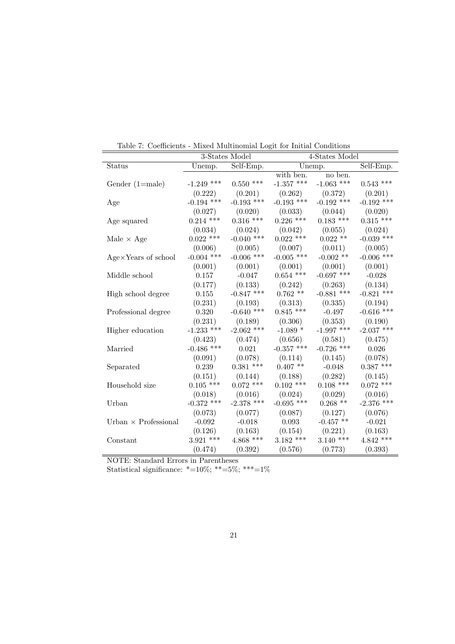|                              |              | 3-States Model | 4-States Model |                     |              |  |
|------------------------------|--------------|----------------|----------------|---------------------|--------------|--|
| Status                       | Unemp.       | Self-Emp.      |                | Unemp.              | Self-Emp.    |  |
|                              |              |                | with ben.      | no ben.             |              |  |
| Gender $(1=male)$            | $-1.249$ *** | $0.550$ ***    | $-1.357$ ***   | -1.063 ***          | $0.543$ ***  |  |
|                              | (0.222)      | (0.201)        | (0.262)        | (0.372)             | (0.201)      |  |
| Age                          | $-0.194$ *** | $-0.193$ ***   | $-0.193$ ***   | $-0.192$ ***        | $-0.192$ *** |  |
|                              | (0.027)      | (0.020)        | (0.033)        | (0.044)             | (0.020)      |  |
| Age squared                  | $0.214$ ***  | $0.316$ ***    | $0.226$ ***    | $0.183$ ***         | $0.315$ ***  |  |
|                              | (0.034)      | (0.024)        | (0.042)        | (0.055)             | (0.024)      |  |
| Male $\times$ Age            | $0.022$ ***  | $-0.040$ ***   | $0.022$ ***    | $0.022$ **          | $-0.039$ *** |  |
|                              | (0.006)      | (0.005)        | (0.007)        | (0.011)             | (0.005)      |  |
| $Age \times Years$ of school | $-0.004$ *** | $-0.006$ ***   | $-0.005$ ***   | $-0.002$ **         | $-0.006$ *** |  |
|                              | (0.001)      | (0.001)        | (0.001)        | (0.001)             | (0.001)      |  |
| Middle school                | 0.157        | $-0.047$       | $0.654$ ***    | $-0.697$ ***        | $-0.028$     |  |
|                              | (0.177)      | (0.133)        | (0.242)        | (0.263)             | (0.134)      |  |
| High school degree           | 0.155        | $-0.847$ ***   | $0.762**$      | $-0.881$ ***        | $-0.821$ *** |  |
|                              | (0.231)      | (0.193)        | (0.313)        | (0.335)             | (0.194)      |  |
| Professional degree          | 0.320        | $-0.640$ ***   | $0.845$ ***    | $-0.497$            | $-0.616$ *** |  |
|                              | (0.231)      | (0.189)        | (0.306)        | (0.353)             | (0.190)      |  |
| Higher education             | $-1.233$ *** | $-2.062$ ***   | $-1.089$ *     | $\text{-}1.997$ *** | $-2.037$ *** |  |
|                              | (0.423)      | (0.474)        | (0.656)        | (0.581)             | (0.475)      |  |
| Married                      | $-0.486$ *** | 0.021          | -0.357 ***     | $-0.726$ ***        | 0.026        |  |
|                              | (0.091)      | (0.078)        | (0.114)        | (0.145)             | (0.078)      |  |
| Separated                    | 0.239        | $0.381$ ***    | $0.407$ **     | $-0.048$            | $0.387$ ***  |  |
|                              | (0.151)      | (0.144)        | (0.188)        | (0.282)             | (0.145)      |  |
| Household size               | $0.105$ ***  | $0.072$ ***    | $0.102$ ***    | $0.108$ ***         | $0.072$ ***  |  |
|                              | (0.018)      | (0.016)        | (0.024)        | (0.029)             | (0.016)      |  |
| Urban                        | $-0.372$ *** | $-2.378$ ***   | $-0.695$ ***   | $0.268$ **          | $-2.376$ *** |  |
|                              | (0.073)      | (0.077)        | (0.087)        | (0.127)             | (0.076)      |  |
| Urban $\times$ Professional  | $-0.092$     | $-0.018$       | 0.093          | $-0.457$ **         | $-0.021$     |  |
|                              | (0.126)      | (0.163)        | (0.154)        | (0.221)             | (0.163)      |  |
| Constant                     | $3.921$ ***  | $4.868$ ***    | $3.182$ ***    | $3.140$ ***         | $4.842$ ***  |  |
|                              | (0.474)      | (0.392)        | (0.576)        | (0.773)             | (0.393)      |  |

Table 7: Coefficients - Mixed Multinomial Logit for Initial Conditions

 $\overline{a}$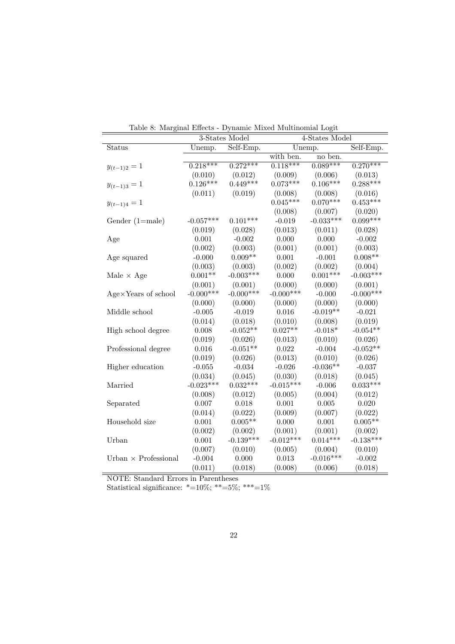|                             |             | 3-States Model | Table 6. Marginal Effects - Dynamic Mixed Multinomial Logit<br>4-States Model |             |             |  |
|-----------------------------|-------------|----------------|-------------------------------------------------------------------------------|-------------|-------------|--|
| Status                      | Unemp.      | Self-Emp.      |                                                                               | Unemp.      |             |  |
|                             |             |                | with ben.                                                                     | no ben.     | Self-Emp.   |  |
| $y_{(t-1)2}=1$              | $0.218***$  | $0.272***$     | $0.118***$                                                                    | $0.089***$  | $0.270***$  |  |
|                             | (0.010)     | (0.012)        | (0.009)                                                                       | (0.006)     | (0.013)     |  |
| $y_{(t-1)3} = 1$            | $0.126***$  | $0.449***$     | $0.073***$                                                                    | $0.106***$  | $0.288***$  |  |
|                             | (0.011)     | (0.019)        | (0.008)                                                                       | (0.008)     | (0.016)     |  |
| $y_{(t-1)4}=1$              |             |                | $0.045***$                                                                    | $0.070***$  | $0.453***$  |  |
|                             |             |                | (0.008)                                                                       | (0.007)     | (0.020)     |  |
| Gender $(1=male)$           | $-0.057***$ | $0.101***$     | $-0.019$                                                                      | $-0.033***$ | $0.099***$  |  |
|                             | (0.019)     | (0.028)        | (0.013)                                                                       | (0.011)     | (0.028)     |  |
| Age                         | 0.001       | $-0.002$       | 0.000                                                                         | 0.000       | $-0.002$    |  |
|                             | (0.002)     | (0.003)        | (0.001)                                                                       | (0.001)     | (0.003)     |  |
| Age squared                 | $-0.000$    | $0.009**$      | 0.001                                                                         | $-0.001$    | $0.008**$   |  |
|                             | (0.003)     | (0.003)        | (0.002)                                                                       | (0.002)     | (0.004)     |  |
| Male $\times$ Age           | $0.001**$   | $-0.003***$    | 0.000                                                                         | $0.001***$  | $-0.003***$ |  |
|                             | (0.001)     | (0.001)        | (0.000)                                                                       | (0.000)     | (0.001)     |  |
| Age×Years of school         | $-0.000***$ | $-0.000***$    | $-0.000***$                                                                   | $-0.000$    | $-0.000***$ |  |
|                             | (0.000)     | (0.000)        | (0.000)                                                                       | (0.000)     | (0.000)     |  |
| Middle school               | $-0.005$    | $-0.019$       | 0.016                                                                         | $-0.019**$  | $-0.021$    |  |
|                             | (0.014)     | (0.018)        | (0.010)                                                                       | (0.008)     | (0.019)     |  |
| High school degree          | 0.008       | $-0.052**$     | $0.027**$                                                                     | $-0.018*$   | $-0.054**$  |  |
|                             | (0.019)     | (0.026)        | (0.013)                                                                       | (0.010)     | (0.026)     |  |
| Professional degree         | 0.016       | $-0.051**$     | 0.022                                                                         | $-0.004$    | $-0.052**$  |  |
|                             | (0.019)     | (0.026)        | (0.013)                                                                       | (0.010)     | (0.026)     |  |
| Higher education            | $-0.055$    | $-0.034$       | $-0.026$                                                                      | $-0.036**$  | $-0.037$    |  |
|                             | (0.034)     | (0.045)        | (0.030)                                                                       | (0.018)     | (0.045)     |  |
| Married                     | $-0.023***$ | $0.032***$     | $-0.015***$                                                                   | $-0.006$    | $0.033***$  |  |
|                             | (0.008)     | (0.012)        | (0.005)                                                                       | (0.004)     | (0.012)     |  |
| Separated                   | 0.007       | 0.018          | 0.001                                                                         | $0.005\,$   | 0.020       |  |
|                             | (0.014)     | (0.022)        | (0.009)                                                                       | (0.007)     | (0.022)     |  |
| Household size              | 0.001       | $0.005**$      | 0.000                                                                         | 0.001       | $0.005**$   |  |
|                             | (0.002)     | (0.002)        | (0.001)                                                                       | (0.001)     | (0.002)     |  |
| Urban                       | 0.001       | $-0.139***$    | $-0.012***$                                                                   | $0.014***$  | $-0.138***$ |  |
|                             | (0.007)     | (0.010)        | (0.005)                                                                       | (0.004)     | (0.010)     |  |
| Urban $\times$ Professional | $-0.004$    | 0.000          | 0.013                                                                         | $-0.016***$ | $-0.002$    |  |
|                             | (0.011)     | (0.018)        | (0.008)                                                                       | (0.006)     | (0.018)     |  |

Table 8: Marginal Effects - Dynamic Mixed Multinomial Logit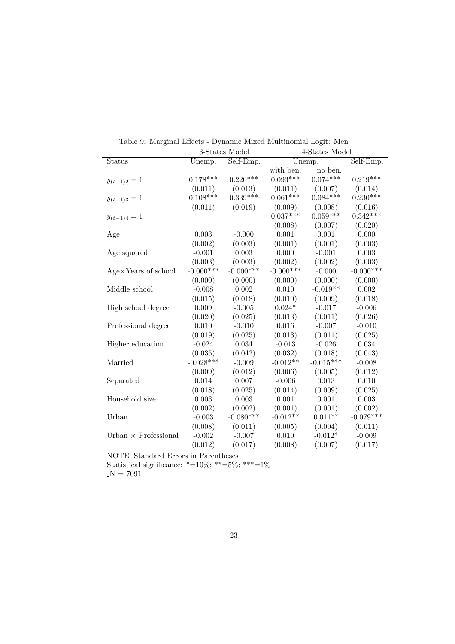|                             | 3-States Model |             | 4-States Model |             |             |  |
|-----------------------------|----------------|-------------|----------------|-------------|-------------|--|
| Status                      | Unemp.         | Self-Emp.   |                | Unemp.      | Self-Emp.   |  |
|                             |                |             | with ben.      | no ben.     |             |  |
| $y_{(t-1)2}=1$              | $0.178***$     | $0.220***$  | $0.093***$     | $0.074***$  | $0.219***$  |  |
|                             | (0.011)        | (0.013)     | (0.011)        | (0.007)     | (0.014)     |  |
| $y_{(t-1)3} = 1$            | $0.108***$     | $0.339***$  | $0.061***$     | $0.084***$  | $0.230***$  |  |
|                             | (0.011)        | (0.019)     | (0.009)        | (0.008)     | (0.016)     |  |
| $y_{(t-1)4}=1$              |                |             | $0.037***$     | $0.059***$  | $0.342***$  |  |
|                             |                |             | (0.008)        | (0.007)     | (0.020)     |  |
| Age                         | 0.003          | $-0.000$    | 0.001          | 0.001       | 0.000       |  |
|                             | (0.002)        | (0.003)     | (0.001)        | (0.001)     | (0.003)     |  |
| Age squared                 | $-0.001$       | 0.003       | 0.000          | $-0.001$    | $\,0.003\,$ |  |
|                             | (0.003)        | (0.003)     | (0.002)        | (0.002)     | (0.003)     |  |
| Age×Years of school         | $-0.000***$    | $-0.000***$ | $-0.000***$    | $-0.000$    | $-0.000***$ |  |
|                             | (0.000)        | (0.000)     | (0.000)        | (0.000)     | (0.000)     |  |
| Middle school               | $-0.008$       | 0.002       | 0.010          | $-0.019**$  | 0.002       |  |
|                             | (0.015)        | (0.018)     | (0.010)        | (0.009)     | (0.018)     |  |
| High school degree          | 0.009          | $-0.005$    | $0.024*$       | $-0.017$    | $-0.006$    |  |
|                             | (0.020)        | (0.025)     | (0.013)        | (0.011)     | (0.026)     |  |
| Professional degree         | 0.010          | $-0.010$    | 0.016          | $-0.007$    | $-0.010$    |  |
|                             | (0.019)        | (0.025)     | (0.013)        | (0.011)     | (0.025)     |  |
| Higher education            | $-0.024$       | 0.034       | $-0.013$       | $-0.026$    | 0.034       |  |
|                             | (0.035)        | (0.042)     | (0.032)        | (0.018)     | (0.043)     |  |
| Married                     | $-0.028***$    | $-0.009$    | $-0.012**$     | $-0.015***$ | $-0.008$    |  |
|                             | (0.009)        | (0.012)     | (0.006)        | (0.005)     | (0.012)     |  |
| Separated                   | 0.014          | 0.007       | $-0.006$       | 0.013       | 0.010       |  |
|                             | (0.018)        | (0.025)     | (0.014)        | (0.009)     | (0.025)     |  |
| Household size              | 0.003          | 0.003       | 0.001          | 0.001       | 0.003       |  |
|                             | (0.002)        | (0.002)     | (0.001)        | (0.001)     | (0.002)     |  |
| Urban                       | $-0.003$       | $-0.080***$ | $-0.012**$     | $0.011**$   | $-0.079***$ |  |
|                             | (0.008)        | (0.011)     | (0.005)        | (0.004)     | (0.011)     |  |
| Urban $\times$ Professional | $-0.002$       | $-0.007$    | 0.010          | $-0.012*$   | $-0.009$    |  |
|                             | (0.012)        | (0.017)     | (0.008)        | (0.007)     | (0.017)     |  |

Table 9: Marginal Effects - Dynamic Mixed Multinomial Logit: Men

Statistical significance: \*=10%; \*\*=5%; \*\*\*=1%

 $N = 7091$